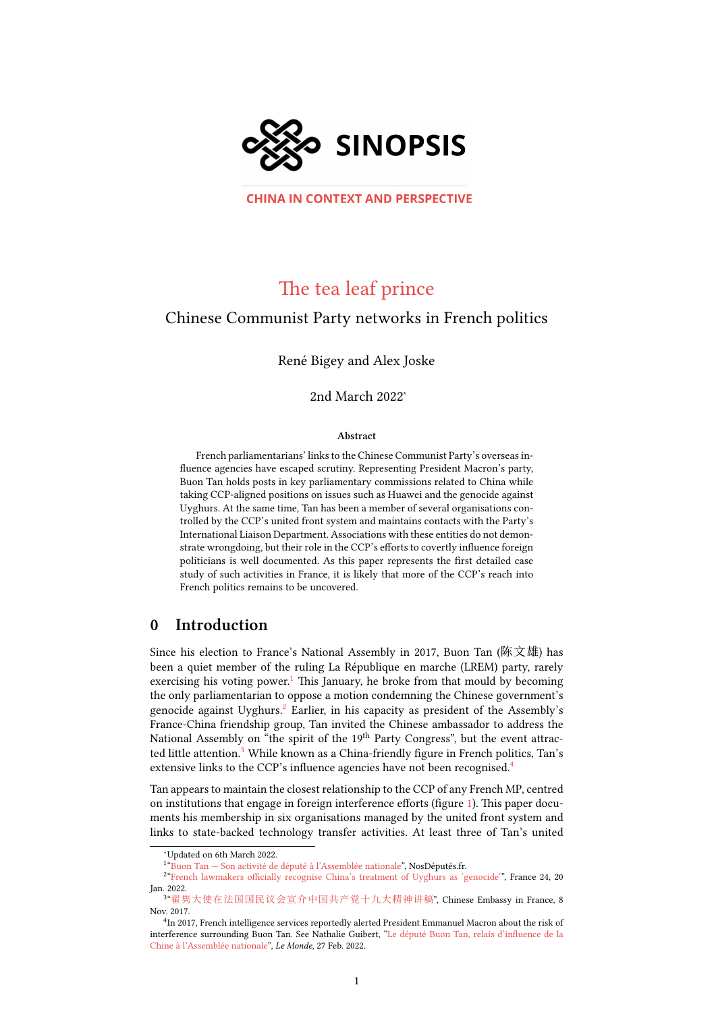

**CHINA IN CONTEXT AND PERSPECTIVE** 

# The tea leaf prince

#### Chinese Communist Party networks in French politics

René Bigey and Alex Joske

2nd March 2022<sup>∗</sup>

#### Abstract

French parliamentarians' links to the Chinese Communist Party's overseas influence agencies have escaped scrutiny. Representing President Macron's party, Buon Tan holds posts in key parliamentary commissions related to China while taking CCP-aligned positions on issues such as Huawei and the genocide against Uyghurs. At the same time, Tan has been a member of several organisations controlled by the CCP's united front system and maintains contacts with the Party's International Liaison Department. Associations with these entities do not demonstrate wrongdoing, but their role in the CCP's efforts to covertly influence foreign politicians is well documented. As this paper represents the first detailed case study of such activities in France, it is likely that more of the CCP's reach into French politics remains to be uncovered.

#### 0 Introduction

Since his election to France's National Assembly in 2017, Buon Tan (陈文雄) has been a quiet member of the ruling La République en marche (LREM) party, rarely exercising his voting power.<sup>[1](#page-0-0)</sup> This January, he broke from that mould by becoming the only parliamentarian to oppose a motion condemning the Chinese government's genocide against Uyghurs.<sup>[2](#page-0-1)</sup> Earlier, in his capacity as president of the Assembly's France-China friendship group, Tan invited the Chinese ambassador to address the National Assembly on "the spirit of the 19<sup>th</sup> Party Congress", but the event attrac-ted little attention.<sup>[3](#page-0-2)</sup> While known as a China-friendly figure in French politics, Tan's extensive links to the CCP's influence agencies have not been recognised.<sup>[4](#page-0-3)</sup>

Tan appears to maintain the closest relationship to the CCP of any French MP, centred on institutions that engage in foreign interference efforts (figure [1\)](#page-1-0). This paper documents his membership in six organisations managed by the united front system and links to state-backed technology transfer activities. At least three of Tan's united

<span id="page-0-1"></span><span id="page-0-0"></span><sup>1</sup> "Buon Tan – Son activité de député à l'Assemblée nationale", NosDéputés.fr.

<sup>2</sup> ["French lawmakers officially recognise China's treatment of Uyghurs as 'genocide'"](https://web.archive.org/web/20220120123449/https://www.france24.com/en/europe/20220120-french-lawmakers-officially-recognise-china-s-treatment-of-uyghurs-as-genocide), France 24, 20 Jan. 2022.

<sup>∗</sup>Updated on 6th March 2022.

<span id="page-0-2"></span><sup>3</sup> "[翟隽大使在法国国民议会宣介中国共产党十九大精神讲稿](https://web.archive.org/web/20220301083959/https://www.mfa.gov.cn/ce/cefr/chn/zgzfg/zgds/dsjs/t1508886.htm)", Chinese Embassy in France, 8 Nov. 2017.

<span id="page-0-3"></span><sup>&</sup>lt;sup>4</sup>In 2017, French intelligence services reportedly alerted President Emmanuel Macron about the risk of interference surrounding Buon Tan. See Nathalie Guibert, ["Le député Buon Tan, relais d'influence de la](https://www.lemonde.fr/international/article/2022/02/27/le-depute-buon-tan-relais-d-influence-de-la-chine-a-l-assemblee-nationale_6115470_3210.html) [Chine à l'Assemblée nationale"](https://www.lemonde.fr/international/article/2022/02/27/le-depute-buon-tan-relais-d-influence-de-la-chine-a-l-assemblee-nationale_6115470_3210.html), Le Monde, 27 Feb. 2022.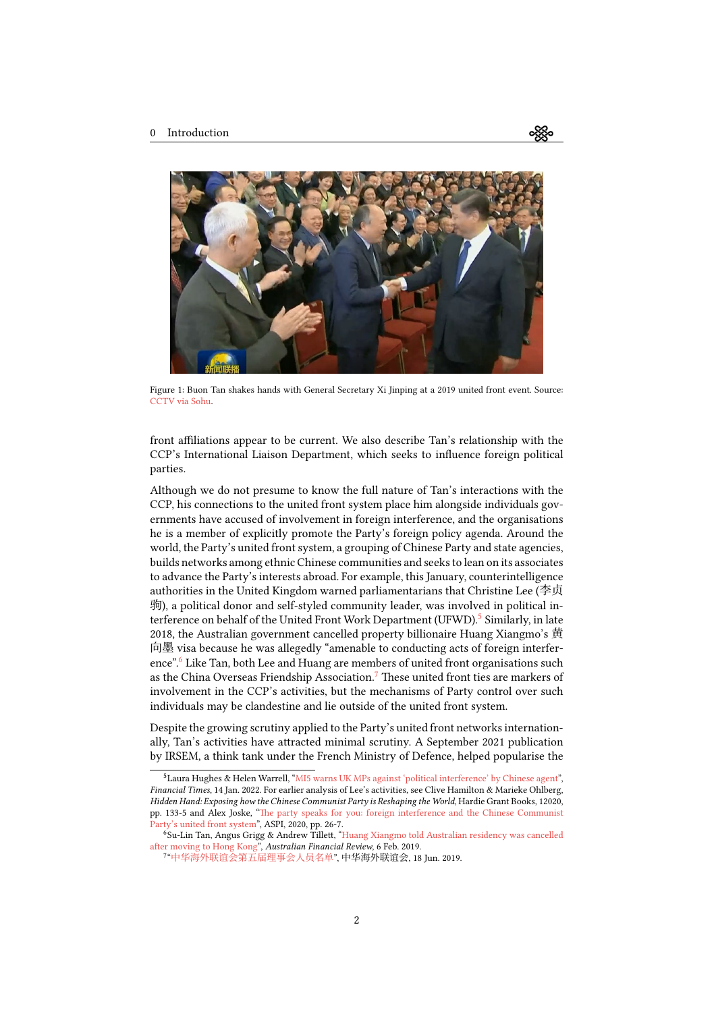<span id="page-1-0"></span>

Figure 1: Buon Tan shakes hands with General Secretary Xi Jinping at a 2019 united front event. Source: [CCTV via Sohu](https://archive.ph/Hidxc).

front affiliations appear to be current. We also describe Tan's relationship with the CCP's International Liaison Department, which seeks to influence foreign political parties.

Although we do not presume to know the full nature of Tan's interactions with the CCP, his connections to the united front system place him alongside individuals governments have accused of involvement in foreign interference, and the organisations he is a member of explicitly promote the Party's foreign policy agenda. Around the world, the Party's united front system, a grouping of Chinese Party and state agencies, builds networks among ethnic Chinese communities and seeks to lean on its associates to advance the Party's interests abroad. For example, this January, counterintelligence authorities in the United Kingdom warned parliamentarians that Christine Lee (李贞 驹), a political donor and self-styled community leader, was involved in political in-terference on behalf of the United Front Work Department (UFWD).<sup>[5](#page-1-1)</sup> Similarly, in late 2018, the Australian government cancelled property billionaire Huang Xiangmo's 黄 向墨 visa because he was allegedly "amenable to conducting acts of foreign interfer-ence".<sup>[6](#page-1-2)</sup> Like Tan, both Lee and Huang are members of united front organisations such as the China Overseas Friendship Association.<sup>[7](#page-1-3)</sup> These united front ties are markers of involvement in the CCP's activities, but the mechanisms of Party control over such individuals may be clandestine and lie outside of the united front system.

Despite the growing scrutiny applied to the Party's united front networks internationally, Tan's activities have attracted minimal scrutiny. A September 2021 publication by IRSEM, a think tank under the French Ministry of Defence, helped popularise the

ઌૺૹૢૺૺૺૺૺૺૺૺૺ

<span id="page-1-1"></span><sup>5</sup>Laura Hughes & Helen Warrell,"[MI5 warns UK MPs against 'political interference' by Chinese agent](https://www.ft.com/content/a693d37d-833f-4dae-80c5-4236a6c76470)", Financial Times, 14 Jan. 2022. For earlier analysis of Lee's activities, see Clive Hamilton & Marieke Ohlberg, Hidden Hand: Exposing how the Chinese Communist Party is Reshaping the World, Hardie Grant Books, 12020, pp. 133-5 and Alex Joske,"[The party speaks for you: foreign interference and the Chinese Communist](https://ad-aspi.s3.ap-southeast-2.amazonaws.com/2020-06/The%20party%20speaks%20for%20you_0.pdf) [Party's united front system](https://ad-aspi.s3.ap-southeast-2.amazonaws.com/2020-06/The%20party%20speaks%20for%20you_0.pdf)", ASPI, 2020, pp. 26-7.

<span id="page-1-2"></span><sup>6</sup>Su-Lin Tan, Angus Grigg & Andrew Tillett, ["Huang Xiangmo told Australian residency was cancelled](https://www.afr.com/politics/federal/huang-xiangmo-told-australian-residency-was-cancelled-after-moving-to-hong-kong-20190206-h1axd9) [after moving to Hong Kong](https://www.afr.com/politics/federal/huang-xiangmo-told-australian-residency-was-cancelled-after-moving-to-hong-kong-20190206-h1axd9)", Australian Financial Review, 6 Feb. 2019.

<span id="page-1-3"></span><sup>7</sup> "[中华海外联谊会第五届理事会人员名单](http://web.archive.org/web/20220228091918/http:/www.cofa.org.cn/lsml/311497.jhtml)", 中华海外联谊会, 18 Jun. 2019.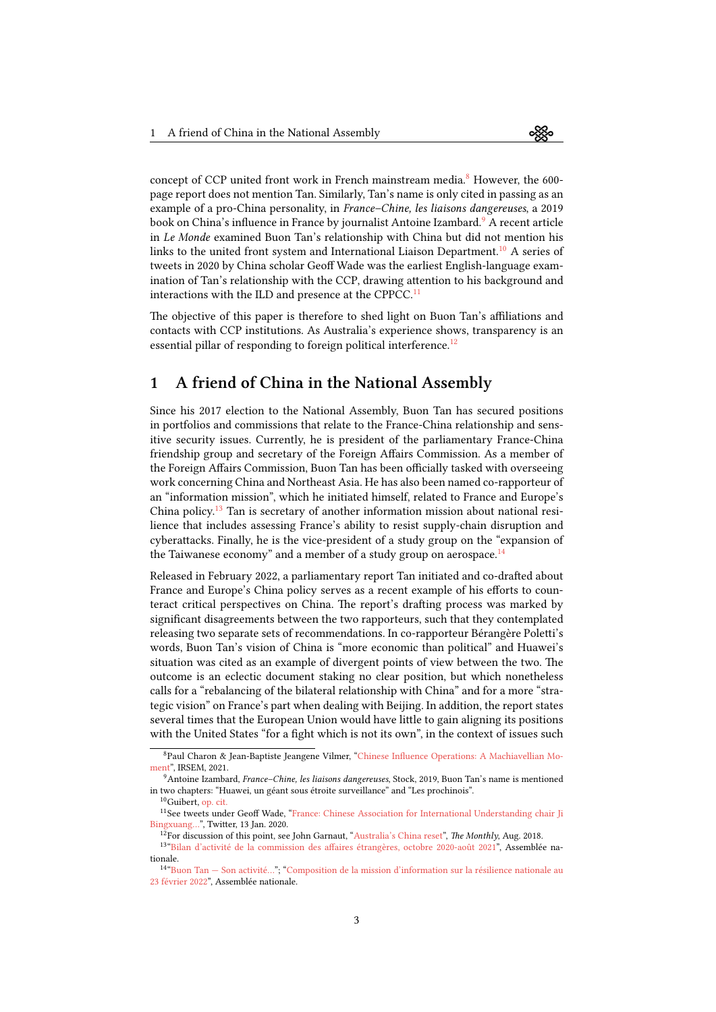concept of CCP united front work in French mainstream media.<sup>[8](#page-2-0)</sup> However, the 600page report does not mention Tan. Similarly, Tan's name is only cited in passing as an

example of a pro-China personality, in France–Chine, les liaisons dangereuses, a 2019 book on China's influence in France by journalist Antoine Izambard.<sup>[9](#page-2-1)</sup> A recent article in Le Monde examined Buon Tan's relationship with China but did not mention his links to the united front system and International Liaison Department.[10](#page-2-2) A series of tweets in 2020 by China scholar Geoff Wade was the earliest English-language examination of Tan's relationship with the CCP, drawing attention to his background and interactions with the ILD and presence at the CPPCC.<sup>[11](#page-2-3)</sup>

The objective of this paper is therefore to shed light on Buon Tan's affiliations and contacts with CCP institutions. As Australia's experience shows, transparency is an essential pillar of responding to foreign political interference.<sup>[12](#page-2-4)</sup>

### 1 A friend of China in the National Assembly

Since his 2017 election to the National Assembly, Buon Tan has secured positions in portfolios and commissions that relate to the France-China relationship and sensitive security issues. Currently, he is president of the parliamentary France-China friendship group and secretary of the Foreign Affairs Commission. As a member of the Foreign Affairs Commission, Buon Tan has been officially tasked with overseeing work concerning China and Northeast Asia. He has also been named co-rapporteur of an "information mission", which he initiated himself, related to France and Europe's China policy.[13](#page-2-5) Tan is secretary of another information mission about national resilience that includes assessing France's ability to resist supply-chain disruption and cyberattacks. Finally, he is the vice-president of a study group on the "expansion of the Taiwanese economy" and a member of a study group on aerospace. $^{14}$  $^{14}$  $^{14}$ 

Released in February 2022, a parliamentary report Tan initiated and co-drafted about France and Europe's China policy serves as a recent example of his efforts to counteract critical perspectives on China. The report's drafting process was marked by significant disagreements between the two rapporteurs, such that they contemplated releasing two separate sets of recommendations. In co-rapporteur Bérangère Poletti's words, Buon Tan's vision of China is "more economic than political" and Huawei's situation was cited as an example of divergent points of view between the two. The outcome is an eclectic document staking no clear position, but which nonetheless calls for a "rebalancing of the bilateral relationship with China" and for a more "strategic vision" on France's part when dealing with Beijing. In addition, the report states several times that the European Union would have little to gain aligning its positions with the United States "for a fight which is not its own", in the context of issues such

<span id="page-2-0"></span><sup>8</sup>Paul Charon & Jean-Baptiste Jeangene Vilmer, ["Chinese Influence Operations: A Machiavellian Mo](https://www.irsem.fr/report.html)[ment](https://www.irsem.fr/report.html)", IRSEM, 2021.

<span id="page-2-1"></span><sup>9</sup>Antoine Izambard, France–Chine, les liaisons dangereuses, Stock, 2019, Buon Tan's name is mentioned in two chapters: "Huawei, un géant sous étroite surveillance" and "Les prochinois".

<span id="page-2-3"></span><span id="page-2-2"></span><sup>&</sup>lt;sup>10</sup>Guibert, [op. cit.](https://www.lemonde.fr/international/article/2022/02/27/le-depute-buon-tan-relais-d-influence-de-la-chine-a-l-assemblee-nationale_6115470_3210.html)

<sup>&</sup>lt;sup>11</sup>Seetweets under Geoff Wade, "[France: Chinese Association for International Understanding chair Ji](https://archive.ph/Mw98m) [Bingxuang…](https://archive.ph/Mw98m)", Twitter, 13 Jan. 2020.

<span id="page-2-5"></span><span id="page-2-4"></span><sup>&</sup>lt;sup>12</sup>For discussion of this point, see John Garnaut, ["Australia's China reset](https://www.themonthly.com.au/issue/2018/august/1533045600/john-garnaut/australia-s-china-reset#mtr)", The Monthly, Aug. 2018.

<sup>13</sup> ["Bilan d'activité de la commission des affaires étrangères, octobre 2020-août 2021"](https://www2.assemblee-nationale.fr/static/15/commissions/CAffEtran/Bilans-annuels/BILAN_ACTIVITE_CAE_2020_2021.pdf), Assemblée nationale.

<span id="page-2-6"></span><sup>14</sup> ["Buon Tan — Son activité…](https://archive.fo/6HTKL)"; ["Composition de la mission d'information sur la résilience nationale au](https://archive.fo/8sJeH) [23 février 2022"](https://archive.fo/8sJeH), Assemblée nationale.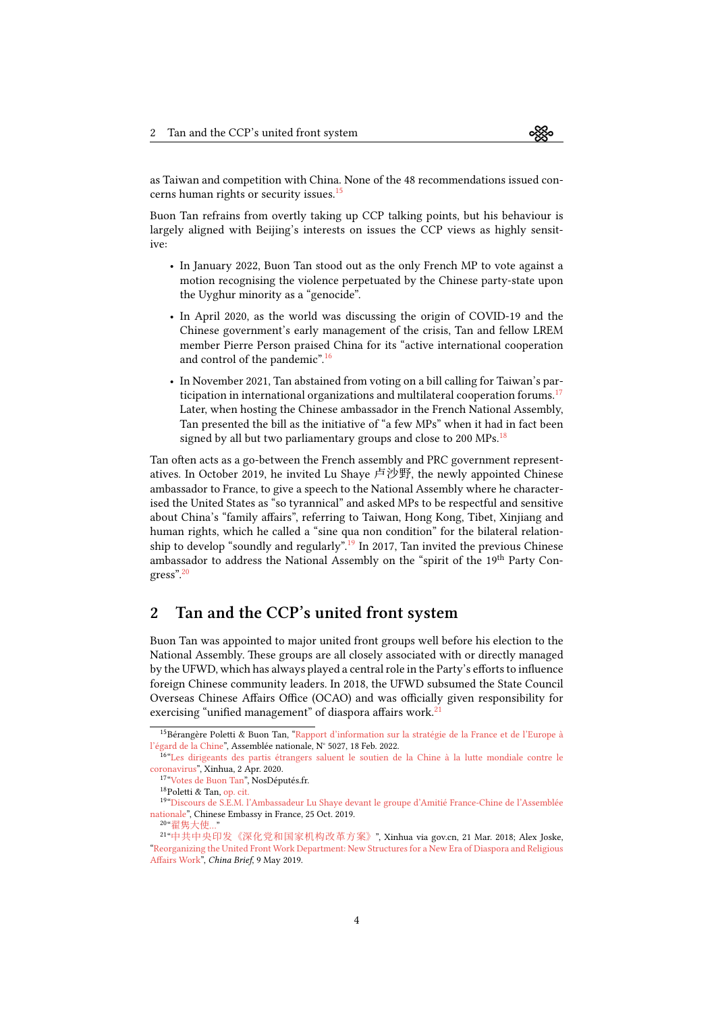as Taiwan and competition with China. None of the 48 recommendations issued concerns human rights or security issues.[15](#page-3-0)

Buon Tan refrains from overtly taking up CCP talking points, but his behaviour is largely aligned with Beijing's interests on issues the CCP views as highly sensitive:

- In January 2022, Buon Tan stood out as the only French MP to vote against a motion recognising the violence perpetuated by the Chinese party-state upon the Uyghur minority as a "genocide".
- In April 2020, as the world was discussing the origin of COVID-19 and the Chinese government's early management of the crisis, Tan and fellow LREM member Pierre Person praised China for its "active international cooperation and control of the pandemic".[16](#page-3-1)
- In November 2021, Tan abstained from voting on a bill calling for Taiwan's par-ticipation in international organizations and multilateral cooperation forums.<sup>[17](#page-3-2)</sup> Later, when hosting the Chinese ambassador in the French National Assembly, Tan presented the bill as the initiative of "a few MPs" when it had in fact been signed by all but two parliamentary groups and close to 200 MPs.<sup>[18](#page-3-3)</sup>

Tan often acts as a go-between the French assembly and PRC government representatives. In October 2019, he invited Lu Shaye 卢沙野, the newly appointed Chinese ambassador to France, to give a speech to the National Assembly where he characterised the United States as "so tyrannical" and asked MPs to be respectful and sensitive about China's "family affairs", referring to Taiwan, Hong Kong, Tibet, Xinjiang and human rights, which he called a "sine qua non condition" for the bilateral relation-ship to develop "soundly and regularly".<sup>[19](#page-3-4)</sup> In 2017, Tan invited the previous Chinese ambassador to address the National Assembly on the "spirit of the 19<sup>th</sup> Party Congress".[20](#page-3-5)

## 2 Tan and the CCP's united front system

Buon Tan was appointed to major united front groups well before his election to the National Assembly. These groups are all closely associated with or directly managed by the UFWD, which has always played a central role in the Party's efforts to influence foreign Chinese community leaders. In 2018, the UFWD subsumed the State Council Overseas Chinese Affairs Office (OCAO) and was officially given responsibility for exercising "unified management" of diaspora affairs work.<sup>2</sup>

<span id="page-3-0"></span><sup>&</sup>lt;sup>15</sup>BérangèrePoletti & Buon Tan, "[Rapport d'information sur la stratégie de la France et de l'Europe à](https://web.archive.org/web/20220217153401/https://www.assemblee-nationale.fr/dyn/15/rapports/cion_afetr/l15b5027_rapport-information.pdf) [l'égard de la Chine"](https://web.archive.org/web/20220217153401/https://www.assemblee-nationale.fr/dyn/15/rapports/cion_afetr/l15b5027_rapport-information.pdf), Assemblée nationale, N° 5027, 18 Feb. 2022.

<span id="page-3-1"></span><sup>&</sup>lt;sup>16</sup>["Les dirigeants des partis étrangers saluent le soutien de la Chine à la lutte mondiale contre le](https://web.archive.org/web/20220130223359/http://french.xinhuanet.com/2020-04/02/c_138939046.htm) [coronavirus"](https://web.archive.org/web/20220130223359/http://french.xinhuanet.com/2020-04/02/c_138939046.htm), Xinhua, 2 Apr. 2020.

<span id="page-3-2"></span><sup>17</sup>["Votes de Buon Tan](https://archive.fo/C87qN)", NosDéputés.fr.

<span id="page-3-4"></span><span id="page-3-3"></span><sup>18</sup>Poletti & Tan, [op. cit.](https://web.archive.org/web/20220217153401/https://www.assemblee-nationale.fr/dyn/15/rapports/cion_afetr/l15b5027_rapport-information.pdf)

<sup>19</sup> ["Discours de S.E.M. l'Ambassadeur Lu Shaye devant le groupe d'Amitié France-Chine de l'Assemblée](https://web.archive.org/web/20220301113610/https://www.mfa.gov.cn/ce/cefr/fra/zfzj/t1716338.htm) [nationale](https://web.archive.org/web/20220301113610/https://www.mfa.gov.cn/ce/cefr/fra/zfzj/t1716338.htm)", Chinese Embassy in France, 25 Oct. 2019.

<span id="page-3-6"></span><span id="page-3-5"></span><sup>20</sup> "[翟隽大使](https://web.archive.org/web/20220301083959/https://www.mfa.gov.cn/ce/cefr/chn/zgzfg/zgds/dsjs/t1508886.htm)…"

<sup>21</sup> "[中共中央印发《深化党和国家机构改革方案》](https://archive.ph/4Zqeg)", Xinhua via gov.cn, 21 Mar. 2018; Alex Joske, "[Reorganizing the United Front Work Department: New Structures for a New Era of Diaspora and Religious](https://jamestown.org/program/reorganizing-the-united-front-work-department-new-structures-for-a-new-era-of-diaspora-and-religious-affairs-work/) [Affairs Work"](https://jamestown.org/program/reorganizing-the-united-front-work-department-new-structures-for-a-new-era-of-diaspora-and-religious-affairs-work/), China Brief, 9 May 2019.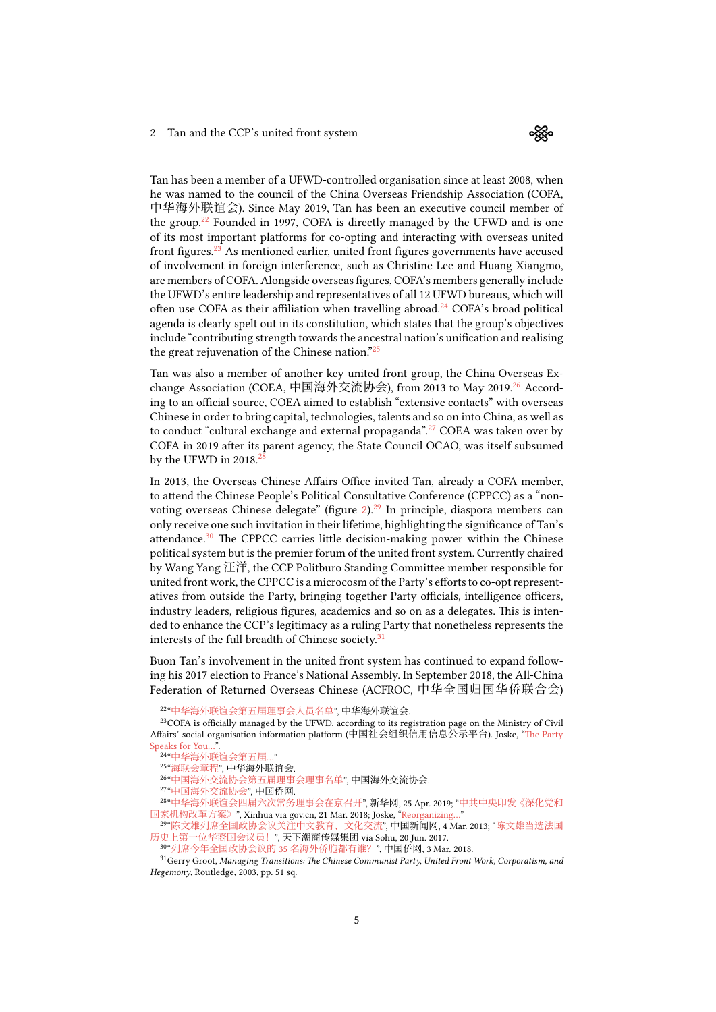Tan has been a member of a UFWD-controlled organisation since at least 2008, when he was named to the council of the China Overseas Friendship Association (COFA, 中华海外联谊会). Since May 2019, Tan has been an executive council member of the group.<sup>[22](#page-4-0)</sup> Founded in 1997, COFA is directly managed by the UFWD and is one of its most important platforms for co-opting and interacting with overseas united front figures.[23](#page-4-1) As mentioned earlier, united front figures governments have accused of involvement in foreign interference, such as Christine Lee and Huang Xiangmo, are members of COFA. Alongside overseas figures, COFA's members generally include the UFWD's entire leadership and representatives of all 12 UFWD bureaus, which will often use COFA as their affiliation when travelling abroad.<sup>[24](#page-4-2)</sup> COFA's broad political agenda is clearly spelt out in its constitution, which states that the group's objectives include "contributing strength towards the ancestral nation's unification and realising the great rejuvenation of the Chinese nation.<sup>"[25](#page-4-3)</sup>

Tan was also a member of another key united front group, the China Overseas Ex-change Association (COEA, 中国海外交流协会), from 2013 to May 2019.<sup>[26](#page-4-4)</sup> According to an official source, COEA aimed to establish "extensive contacts" with overseas Chinese in order to bring capital, technologies, talents and so on into China, as well as to conduct "cultural exchange and external propaganda".<sup>[27](#page-4-5)</sup> COEA was taken over by COFA in 2019 after its parent agency, the State Council OCAO, was itself subsumed by the UFWD in  $2018$ .<sup>2</sup>

In 2013, the Overseas Chinese Affairs Office invited Tan, already a COFA member, to attend the Chinese People's Political Consultative Conference (CPPCC) as a "nonvoting overseas Chinese delegate" (figure  $2$ ).<sup>[29](#page-4-7)</sup> In principle, diaspora members can only receive one such invitation in their lifetime, highlighting the significance of Tan's attendance.<sup>[30](#page-4-8)</sup> The CPPCC carries little decision-making power within the Chinese political system but is the premier forum of the united front system. Currently chaired by Wang Yang 汪洋, the CCP Politburo Standing Committee member responsible for united front work, the CPPCC is a microcosm of the Party's efforts to co-opt representatives from outside the Party, bringing together Party officials, intelligence officers, industry leaders, religious figures, academics and so on as a delegates. This is intended to enhance the CCP's legitimacy as a ruling Party that nonetheless represents the interests of the full breadth of Chinese society.<sup>[31](#page-4-9)</sup>

Buon Tan's involvement in the united front system has continued to expand following his 2017 election to France's National Assembly. In September 2018, the All-China Federation of Returned Overseas Chinese (ACFROC, 中华全国归国华侨联合会)

<span id="page-4-1"></span><span id="page-4-0"></span><sup>22</sup> "[中华海外联谊会第五届理事会人员名单](https://archive.fo/GfkZM)", 中华海外联谊会.

<sup>&</sup>lt;sup>23</sup>COFA is officially managed by the UFWD, according to its registration page on the Ministry of Civil Affairs' social organisation information platform (中国社会组织信用信息公示平台). Joske,"[The Party](https://ad-aspi.s3.ap-southeast-2.amazonaws.com/2020-06/The%20party%20speaks%20for%20you_0.pdf?VersionId=gFHuXyYMR0XuDQOs.6JSmrdyk7MralcN) Speaks for You...

<span id="page-4-2"></span><sup>24</sup> "[中华海外联谊会第五届](https://archive.fo/GfkZM)…"

<span id="page-4-3"></span><sup>25</sup> "[海联会章程](https://archive.ph/pasO9)", 中华海外联谊会.

<span id="page-4-4"></span><sup>26</sup> "[中国海外交流协会第五届理事会理事名单](http://web.archive.org/web/20131203001816/http:/www.coea.org.cn/472/2013/1014/221.html)", 中国海外交流协会.

<span id="page-4-6"></span><span id="page-4-5"></span><sup>27</sup> "[中国海外交流协会](https://archive.fo/W8VhY)", 中国侨网.

<sup>28</sup> "[中华海外联谊会四届六次常务理事会在京召开](https://archive.ph/diUzv)", 新华网, 25 Apr. 2019; "[中共中央印发《深化党和](https://archive.ph/4Zqeg) [国家机构改革方案》](https://archive.ph/4Zqeg)",Xinhua via gov.cn, 21 Mar. 2018; Joske, "Reorganizing...

<span id="page-4-7"></span><sup>29&</sup>quot;陈文雄列席全国政协会议关注中文教育、 文化交流", 中国新闻网, 4 Mar. 2013; "[陈文雄当选法国](https://archive.ph/030nx) [历史上第一位华裔国会议员!](https://archive.ph/030nx)", 天下潮商传媒集团 via Sohu, 20 Jun. 2017.

<span id="page-4-9"></span><span id="page-4-8"></span><sup>30</sup> "[列席今年全国政协会议的](https://archive.fo/ZcQCn) 35 名海外侨胞都有谁?", 中国侨网, 3 Mar. 2018.

<sup>&</sup>lt;sup>31</sup>Gerry Groot, Managing Transitions: The Chinese Communist Party, United Front Work, Corporatism, and Hegemony, Routledge, 2003, pp. 51 sq.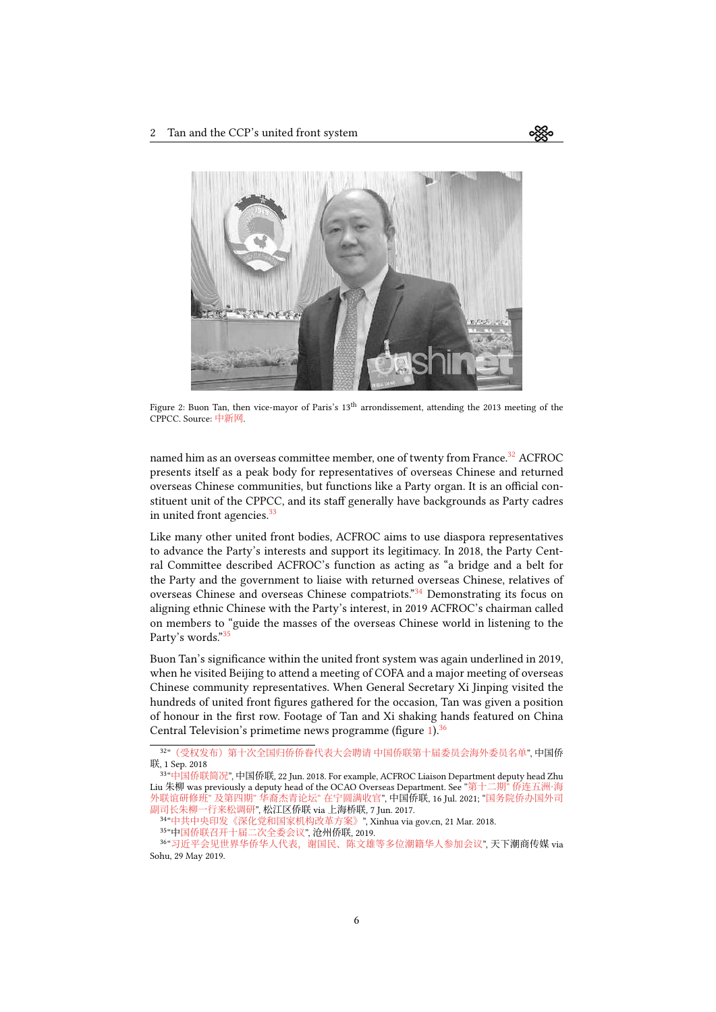<span id="page-5-0"></span>

Figure 2: Buon Tan, then vice-mayor of Paris's 13<sup>th</sup> arrondissement, attending the 2013 meeting of the CPPCC. Source: [中新网](https://archive.ph/IQrsU).

named him as an overseas committee member, one of twenty from France.<sup>[32](#page-5-1)</sup> ACFROC presents itself as a peak body for representatives of overseas Chinese and returned overseas Chinese communities, but functions like a Party organ. It is an official constituent unit of the CPPCC, and its staff generally have backgrounds as Party cadres in united front agencies.<sup>[33](#page-5-2)</sup>

Like many other united front bodies, ACFROC aims to use diaspora representatives to advance the Party's interests and support its legitimacy. In 2018, the Party Central Committee described ACFROC's function as acting as "a bridge and a belt for the Party and the government to liaise with returned overseas Chinese, relatives of overseas Chinese and overseas Chinese compatriots."<sup>[34](#page-5-3)</sup> Demonstrating its focus on aligning ethnic Chinese with the Party's interest, in 2019 ACFROC's chairman called on members to "guide the masses of the overseas Chinese world in listening to the Party's words."[35](#page-5-4)

Buon Tan's significance within the united front system was again underlined in 2019, when he visited Beijing to attend a meeting of COFA and a major meeting of overseas Chinese community representatives. When General Secretary Xi Jinping visited the hundreds of united front figures gathered for the occasion, Tan was given a position of honour in the first row. Footage of Tan and Xi shaking hands featured on China Central Television's primetime news programme (figure [1](#page-1-0)).<sup>[36](#page-5-5)</sup>

<span id="page-5-1"></span><sup>32</sup> "[\(受权发布\)第十次全国归侨侨眷代表大会聘请 中国侨联第十届委员会海外委员名单](https://archive.ph/iS49N)", 中国侨 联, 1 Sep. 2018

<span id="page-5-2"></span><sup>33</sup> "[中国侨联简况](https://archive.ph/lAAW2)", 中国侨联, 22 Jun. 2018. For example, ACFROC Liaison Department deputy head Zhu Liu 朱柳 was previously a deputy head of the OCAO Overseas Department. See "第十二期" [侨连五洲·海](https://archive.ph/PqAmc) 外联谊研修班" 及第四期" [华裔杰青论坛](https://archive.ph/PqAmc)" 在宁圆满收官", 中国侨联, 16 Jul. 2021; "[国务院侨办国外司](https://archive.ph/u5l05) [副司长朱柳一行来松调研](https://archive.ph/u5l05)", 松江区侨联 via 上海桥联, 7 Jun. 2017.

<span id="page-5-3"></span><sup>34</sup> "[中共中央印发《深化党和国家机构改革方案》](https://archive.ph/4Zqeg)", Xinhua via gov.cn, 21 Mar. 2018.

<span id="page-5-5"></span><span id="page-5-4"></span><sup>35</sup> "[中国侨联召开十届二次全委会议](http://web.archive.org/web/20220225234530/http:/www.czgghq.com/NEWS/2473.html)", 沧州侨联, 2019.

<sup>36&</sup>quot;[习近平会见世界华侨华人代表,谢国民、陈文雄等多位潮籍华人参加会议](https://archive.ph/Hidxc)", 天<mark>下潮商传媒 vi</mark>a Sohu, 29 May 2019.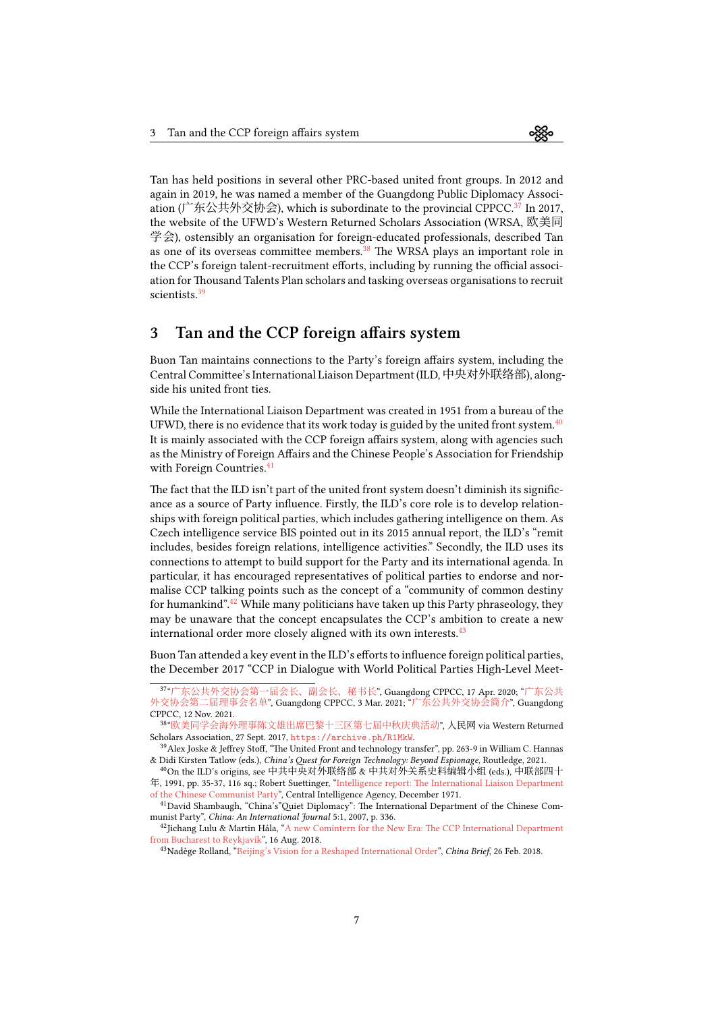Tan has held positions in several other PRC-based united front groups. In 2012 and again in 2019, he was named a member of the Guangdong Public Diplomacy Associ-ation (广东公共外交协会), which is subordinate to the provincial CPPCC.<sup>[37](#page-6-0)</sup> In 2017, the website of the UFWD's Western Returned Scholars Association (WRSA, 欧美同 学会), ostensibly an organisation for foreign-educated professionals, described Tan as one of its overseas committee members.<sup>[38](#page-6-1)</sup> The WRSA plays an important role in the CCP's foreign talent-recruitment efforts, including by running the official association for Thousand Talents Plan scholars and tasking overseas organisations to recruit scientists.<sup>[39](#page-6-2)</sup>

#### 3 Tan and the CCP foreign affairs system

Buon Tan maintains connections to the Party's foreign affairs system, including the Central Committee's International Liaison Department (ILD,中央对外联络部), alongside his united front ties.

While the International Liaison Department was created in 1951 from a bureau of the UFWD, there is no evidence that its work today is guided by the united front system. $^{40}$  $^{40}$  $^{40}$ It is mainly associated with the CCP foreign affairs system, along with agencies such as the Ministry of Foreign Affairs and the Chinese People's Association for Friendship with Foreign Countries.<sup>[41](#page-6-4)</sup>

The fact that the ILD isn't part of the united front system doesn't diminish its significance as a source of Party influence. Firstly, the ILD's core role is to develop relationships with foreign political parties, which includes gathering intelligence on them. As Czech intelligence service BIS pointed out in its 2015 annual report, the ILD's "remit includes, besides foreign relations, intelligence activities." Secondly, the ILD uses its connections to attempt to build support for the Party and its international agenda. In particular, it has encouraged representatives of political parties to endorse and normalise CCP talking points such as the concept of a "community of common destiny for humankind".<sup>[42](#page-6-5)</sup> While many politicians have taken up this Party phraseology, they may be unaware that the concept encapsulates the CCP's ambition to create a new international order more closely aligned with its own interests.  $43$ 

Buon Tan attended a key event in the ILD's efforts to influence foreign political parties, the December 2017 "CCP in Dialogue with World Political Parties High-Level Meet-

<span id="page-6-0"></span><sup>37</sup> "[广东公共外交协会第一届会长、副会长、秘书长](https://archive.ph/wHzLZ)", Guangdong CPPCC, 17 Apr. 2020; "[广东公共](https://archive.ph/1nXX5) [外交协会第二届理事会名单](https://archive.ph/1nXX5)", Guangdong CPPCC, 3 Mar. 2021; "[广东公共外交协会简介](https://archive.ph/J3qv7)", Guangdong CPPCC, 12 Nov. 2021.

<span id="page-6-1"></span><sup>38</sup> "[欧美同学会海外理事陈文雄出席巴黎十三区第七届中秋庆典活动](https://archive.ph/R1MkW)", 人民网 via Western Returned Scholars Association, 27 Sept. 2017, <https://archive.ph/R1MkW>.

<span id="page-6-2"></span><sup>39</sup>Alex Joske & Jeffrey Stoff, "The United Front and technology transfer", pp. 263-9 in William C. Hannas & Didi Kirsten Tatlow (eds.), China's Quest for Foreign Technology: Beyond Espionage, Routledge, 2021.

<span id="page-6-3"></span><sup>40</sup>On the ILD's origins, see 中共中央对外联络部 & 中共对外关系史料编辑小组 (eds.), 中联部四十 年, 1991, pp. 35-37, 116 sq.; Robert Suettinger,"[Intelligence report: The International Liaison Department](https://web.archive.org/web/20190920042452/https:/www.cia.gov/library/readingroom/docs/polo-33.pdf) [of the Chinese Communist Party](https://web.archive.org/web/20190920042452/https:/www.cia.gov/library/readingroom/docs/polo-33.pdf)", Central Intelligence Agency, December 1971.

<span id="page-6-4"></span><sup>41</sup>David Shambaugh, "China's"Quiet Diplomacy": The International Department of the Chinese Communist Party", China: An International Journal 5:1, 2007, p. 336.

<span id="page-6-5"></span><sup>&</sup>lt;sup>42</sup>JichangLulu & Martin Hála, "[A new Comintern for the New Era: The CCP International Department](https://sinopsis.cz/en/a-new-comintern-for-the-new-era-the-ccp-international-department-from-bucharest-to-reykjavik/) [from Bucharest to Reykjavík"](https://sinopsis.cz/en/a-new-comintern-for-the-new-era-the-ccp-international-department-from-bucharest-to-reykjavik/), 16 Aug. 2018.

<span id="page-6-6"></span><sup>&</sup>lt;sup>43</sup>Nadège Rolland, ["Beijing's Vision for a Reshaped International Order](https://jamestown.org/program/beijings-vision-reshaped-international-order/)", China Brief, 26 Feb. 2018.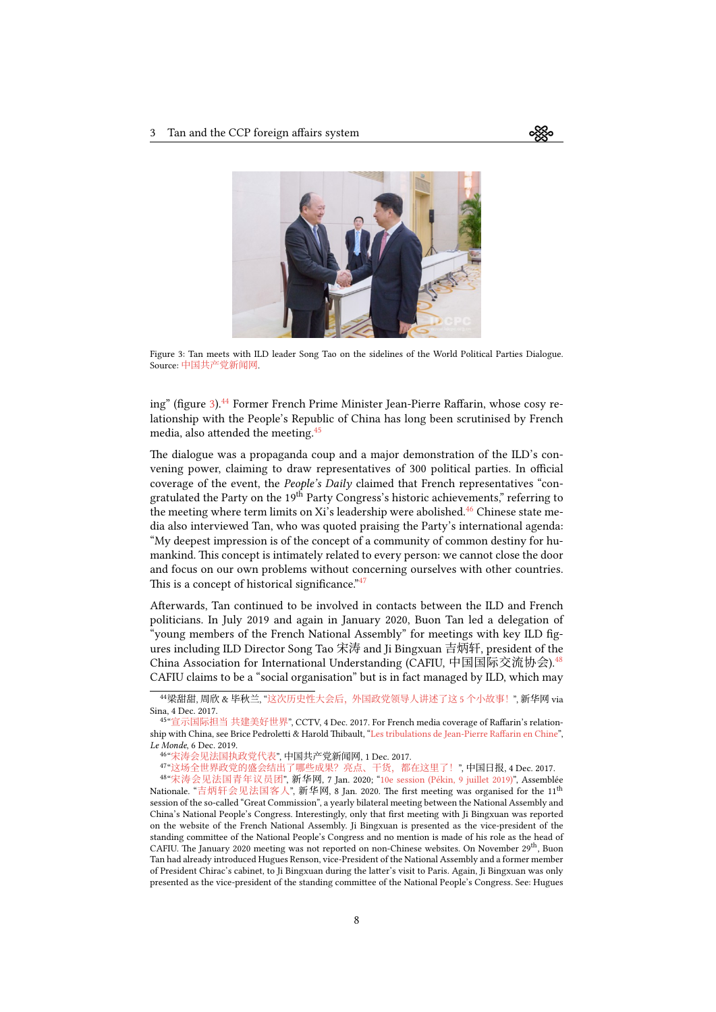<span id="page-7-0"></span>

Figure 3: Tan meets with ILD leader Song Tao on the sidelines of the World Political Parties Dialogue. Source: [中国共产党新闻网](https://archive.ph/WizxW).

ing" (figure [3\)](#page-7-0).<sup>[44](#page-7-1)</sup> Former French Prime Minister Jean-Pierre Raffarin, whose cosy relationship with the People's Republic of China has long been scrutinised by French media, also attended the meeting. $45$ 

The dialogue was a propaganda coup and a major demonstration of the ILD's convening power, claiming to draw representatives of 300 political parties. In official coverage of the event, the People's Daily claimed that French representatives "congratulated the Party on the  $19<sup>th</sup>$  Party Congress's historic achievements," referring to the meeting where term limits on Xi's leadership were abolished.<sup>[46](#page-7-3)</sup> Chinese state media also interviewed Tan, who was quoted praising the Party's international agenda: "My deepest impression is of the concept of a community of common destiny for humankind. This concept is intimately related to every person: we cannot close the door and focus on our own problems without concerning ourselves with other countries. This is a concept of historical significance."<sup>[47](#page-7-4)</sup>

Afterwards, Tan continued to be involved in contacts between the ILD and French politicians. In July 2019 and again in January 2020, Buon Tan led a delegation of "young members of the French National Assembly" for meetings with key ILD figures including ILD Director Song Tao 宋涛 and Ji Bingxuan 吉炳轩, president of the China Association for International Understanding (CAFIU, 中国国际交流协会). [48](#page-7-5) CAFIU claims to be a "social organisation" but is in fact managed by ILD, which may

<span id="page-7-1"></span><sup>44</sup>梁甜甜, 周欣 & 毕秋兰, "[这次历史性大会后,外国政党领导人讲述了这](https://web.archive.org/web/20220301115605/https://k.sina.cn/article_2810373291_a782e4ab02000848x.html) 5 个小故事!", 新华网 via Sina, 4 Dec. 2017.

<span id="page-7-2"></span><sup>45</sup> "[宣示国际担当 共建美好世界](https://web.archive.org/web/20220301115939/http://m.news.cctv.com/2017/12/04/ARTIVRrRnP1NnDEQjFMobj7K171204.shtml)", CCTV, 4 Dec. 2017. For French media coverage of Raffarin's relationship with China, see Brice Pedroletti & Harold Thibault, ["Les tribulations de Jean-Pierre Raffarin en Chine](https://www.lemonde.fr/international/article/2019/12/06/les-tribulations-de-jean-pierre-raffarin-en-chine_6021867_3210.html)", Le Monde, 6 Dec. 2019.

<span id="page-7-3"></span><sup>46</sup> "[宋涛会见法国执政党代表](https://archive.ph/WizxW)", 中国共产党新闻网, 1 Dec. 2017.

<span id="page-7-5"></span><span id="page-7-4"></span><sup>47&</sup>quot;[这场全世界政党的盛会结出了哪些成果?亮点、干货,都在这里了!](https://archive.ph/gpRPt)", 中国日报, 4 Dec. 2017.

<sup>48</sup> "[宋涛会见法国青年议员团](https://web.archive.org/web/20200108155807/http://www.xinhuanet.com/politics/2020-01/07/c_1125432518.htm)", 新华网, 7 Jan. 2020; ["10e session \(Pékin, 9 juillet 2019\)"](https://web.archive.org/web/20220301120403/https://www2.assemblee-nationale.fr/europe-et-international/activites-parlementaires-internationales/les-commissions-parlementaires-bilaterales/grande-commission-france-chine/10e-session-pekin-9-juillet-2019), Assemblée Nationale. "[吉炳轩会见法国客人](https://web.archive.org/web/20200108180109/http://www.xinhuanet.com/politics/2020-01/07/c_1125432702.htm)", 新华网, 8 Jan. 2020. The first meeting was organised for the 11<sup>th</sup> session of the so-called "Great Commission", a yearly bilateral meeting between the National Assembly and China's National People's Congress. Interestingly, only that first meeting with Ji Bingxuan was reported on the website of the French National Assembly. Ji Bingxuan is presented as the vice-president of the standing committee of the National People's Congress and no mention is made of his role as the head of CAFIU. The January 2020 meeting was not reported on non-Chinese websites. On November 29<sup>th</sup>, Buon Tan had already introduced Hugues Renson, vice-President of the National Assembly and a former member of President Chirac's cabinet, to Ji Bingxuan during the latter's visit to Paris. Again, Ji Bingxuan was only presented as the vice-president of the standing committee of the National People's Congress. See: Hugues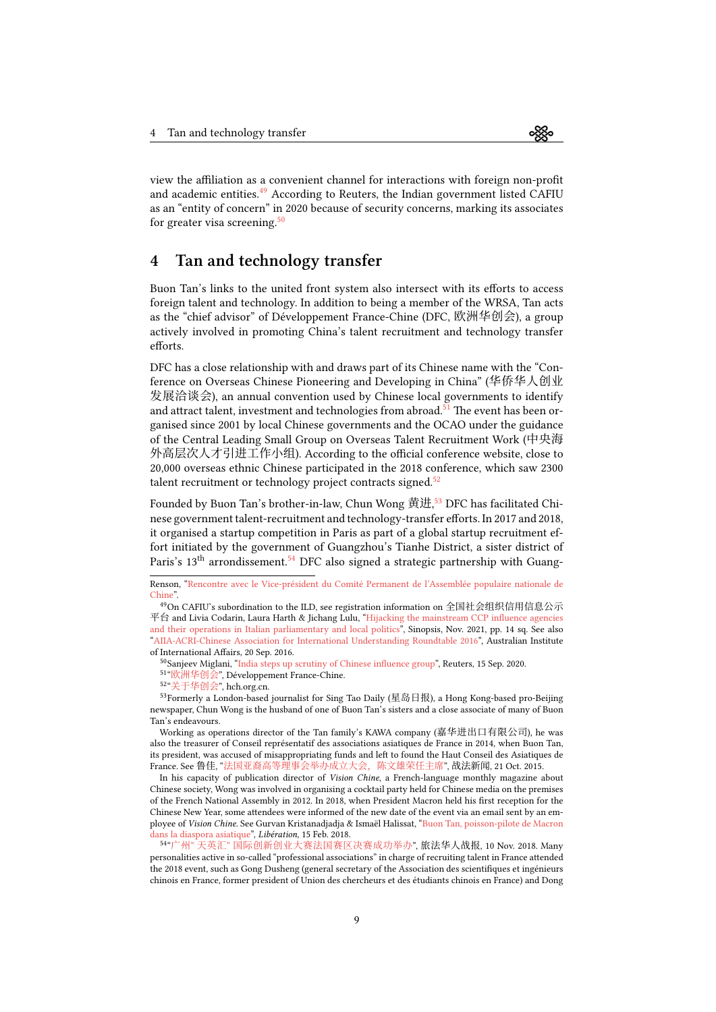view the affiliation as a convenient channel for interactions with foreign non-profit and academic entities.<sup>[49](#page-8-0)</sup> According to Reuters, the Indian government listed CAFIU as an "entity of concern" in 2020 because of security concerns, marking its associates for greater visa screening.<sup>[50](#page-8-1)</sup>

#### 4 Tan and technology transfer

Buon Tan's links to the united front system also intersect with its efforts to access foreign talent and technology. In addition to being a member of the WRSA, Tan acts as the "chief advisor" of Développement France-Chine (DFC, 欧洲华创会), a group actively involved in promoting China's talent recruitment and technology transfer efforts.

DFC has a close relationship with and draws part of its Chinese name with the "Conference on Overseas Chinese Pioneering and Developing in China" (华侨华人创业 发展洽谈会), an annual convention used by Chinese local governments to identify and attract talent, investment and technologies from abroad.<sup>[51](#page-8-2)</sup> The event has been organised since 2001 by local Chinese governments and the OCAO under the guidance of the Central Leading Small Group on Overseas Talent Recruitment Work (中央海 外高层次人才引进工作小组). According to the official conference website, close to 20,000 overseas ethnic Chinese participated in the 2018 conference, which saw 2300 talent recruitment or technology project contracts signed.<sup>[52](#page-8-3)</sup>

Founded by Buon Tan's brother-in-law, Chun Wong 黄进, $^{53}$  $^{53}$  $^{53}$  DFC has facilitated Chinese government talent-recruitment and technology-transfer efforts. In 2017 and 2018, it organised a startup competition in Paris as part of a global startup recruitment effort initiated by the government of Guangzhou's Tianhe District, a sister district of Paris's  $13<sup>th</sup>$  arrondissement.<sup>[54](#page-8-5)</sup> DFC also signed a strategic partnership with Guang-

<span id="page-8-0"></span><sup>49</sup>On CAFIU's subordination to the ILD, see registration information on 全国社会组织信用信息公示 平台 and Livia Codarin, Laura Harth & Jichang Lulu,"[Hijacking the mainstream CCP influence agencies](https://sinopsis.cz/wp-content/uploads/2021/11/it0.pdf) [and their operations in Italian parliamentary and local politics"](https://sinopsis.cz/wp-content/uploads/2021/11/it0.pdf), Sinopsis, Nov. 2021, pp. 14 sq. See also "[AIIA-ACRI-Chinese Association for International Understanding Roundtable 2016"](https://archive.ph/QAwGi), Australian Institute of International Affairs, 20 Sep. 2016.

- <span id="page-8-1"></span><sup>50</sup>Sanjeev Miglani, ["India steps up scrutiny of Chinese influence group"](https://www.reuters.com/article/us-india-china-visas-exclusive-idUSKBN25U1KW), Reuters, 15 Sep. 2020.
- <span id="page-8-2"></span><sup>51</sup>"[欧洲华创会](https://archive.fo/pMbtK)", Développement France-Chine.<br><sup>52</sup>"[关于华创会](https://web.archive.org/web/20201129172422/http://www.hch.org.cn/anenst.html)", hch.org.cn.

<span id="page-8-4"></span><span id="page-8-3"></span>

<sup>53</sup>Formerly a London-based journalist for Sing Tao Daily (星岛日报), a Hong Kong-based pro-Beijing newspaper, Chun Wong is the husband of one of Buon Tan's sisters and a close associate of many of Buon Tan's endeavours.

Working as operations director of the Tan family's KAWA company (嘉华进出口有限公司), he was also the treasurer of Conseil représentatif des associations asiatiques de France in 2014, when Buon Tan, its president, was accused of misappropriating funds and left to found the Haut Conseil des Asiatiques de France. See 鲁佳, "[法国亚裔高等理事会举办成立大会,陈文雄荣任主席](https://web.archive.org/web/20220301084501/https://bbs.xineurope.com/forum.php?mod=viewthread&tid=2115425)", 战法新闻, 21 Oct. 2015.

In his capacity of publication director of Vision Chine, a French-language monthly magazine about Chinese society, Wong was involved in organising a cocktail party held for Chinese media on the premises of the French National Assembly in 2012. In 2018, when President Macron held his first reception for the Chinese New Year, some attendees were informed of the new date of the event via an email sent by an employee of Vision Chine. See Gurvan Kristanadjadja & Ismaël Halissat, ["Buon Tan, poisson-pilote de Macron](https://web.archive.org/web/20210910012747/https://www.liberation.fr/france/2018/02/15/buon-tan-poisson-pilote-de-macron-dans-la-diaspora-asiatique_1630045/) [dans la diaspora asiatique](https://web.archive.org/web/20210910012747/https://www.liberation.fr/france/2018/02/15/buon-tan-poisson-pilote-de-macron-dans-la-diaspora-asiatique_1630045/)", Libération, 15 Feb. 2018.

<span id="page-8-5"></span>54"广州" 天英汇" [国际创新创业大赛法国赛区决赛成功举办](http://web.archive.org/web/20201020083858/https:/bbs.xineurope.com/wechatarticle-1825.html)", 旅法华人战报, 10 Nov. 2018. Many personalities active in so-called "professional associations" in charge of recruiting talent in France attended the 2018 event, such as Gong Dusheng (general secretary of the Association des scientifiques et ingénieurs chinois en France, former president of Union des chercheurs et des étudiants chinois en France) and Dong

Renson, ["Rencontre avec le Vice-président du Comité Permanent de l'Assemblée populaire nationale de](https://web.archive.org/web/20200920204847/https://huguesrenson.fr/rencontre-avec-le-vice-president-du-comite-permanent-de-lassemblee-populaire-nationale-de-chine/) [Chine](https://web.archive.org/web/20200920204847/https://huguesrenson.fr/rencontre-avec-le-vice-president-du-comite-permanent-de-lassemblee-populaire-nationale-de-chine/)".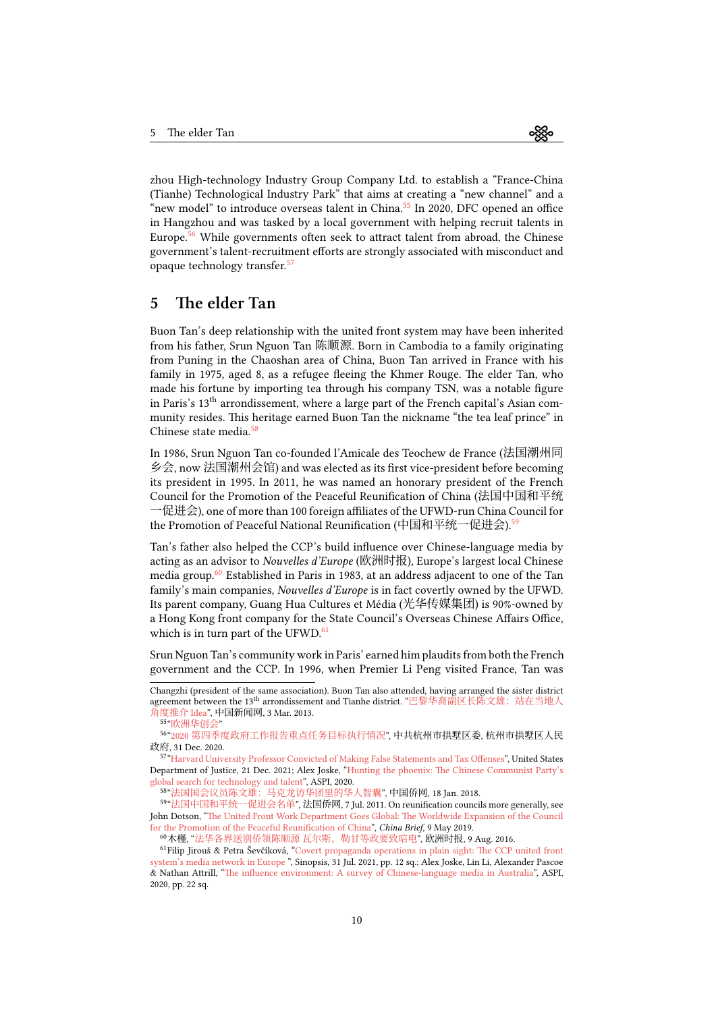zhou High-technology Industry Group Company Ltd. to establish a "France-China (Tianhe) Technological Industry Park" that aims at creating a "new channel" and a "new model" to introduce overseas talent in China.<sup>[55](#page-9-0)</sup> In 2020, DFC opened an office in Hangzhou and was tasked by a local government with helping recruit talents in Europe.<sup>[56](#page-9-1)</sup> While governments often seek to attract talent from abroad, the Chinese government's talent-recruitment efforts are strongly associated with misconduct and opaque technology transfer.[57](#page-9-2)

#### 5 The elder Tan

Buon Tan's deep relationship with the united front system may have been inherited from his father, Srun Nguon Tan 陈顺源. Born in Cambodia to a family originating from Puning in the Chaoshan area of China, Buon Tan arrived in France with his family in 1975, aged 8, as a refugee fleeing the Khmer Rouge. The elder Tan, who made his fortune by importing tea through his company TSN, was a notable figure in Paris's 13th arrondissement, where a large part of the French capital's Asian community resides. This heritage earned Buon Tan the nickname "the tea leaf prince" in Chinese state media. $58$ 

In 1986, Srun Nguon Tan co-founded l'Amicale des Teochew de France (法国潮州同 乡会, now 法国潮州会馆) and was elected as its first vice-president before becoming its president in 1995. In 2011, he was named an honorary president of the French Council for the Promotion of the Peaceful Reunification of China (法国中国和平统 一促进会), one of more than 100 foreign affiliates of the UFWD-run China Council for the Promotion of Peaceful National Reunification (中国和平统一促进会).<sup>[59](#page-9-4)</sup>

Tan's father also helped the CCP's build influence over Chinese-language media by acting as an advisor to Nouvelles d'Europe (欧洲时报), Europe's largest local Chinese media group.[60](#page-9-5) Established in Paris in 1983, at an address adjacent to one of the Tan family's main companies, *Nouvelles d'Europe* is in fact covertly owned by the UFWD. Its parent company, Guang Hua Cultures et Média (光华传媒集团) is 90%-owned by a Hong Kong front company for the State Council's Overseas Chinese Affairs Office, which is in turn part of the UFWD. $61$ 

Srun Nguon Tan's community work in Paris' earned him plaudits from both the French government and the CCP. In 1996, when Premier Li Peng visited France, Tan was

Changzhi (president of the same association). Buon Tan also attended, having arranged the sister district agreement between the 13<sup>th</sup> arrondissement and Tianhe district. "巴黎华裔副区长陈文雄: 站在当地人 [角度推介](https://archive.ph/VWsev) Idea", 中国新闻网, 3 Mar. 2013.

<span id="page-9-1"></span><span id="page-9-0"></span><sup>55</sup> "[欧洲华创会](https://archive.fo/pMbtK)"

<sup>56</sup> "2020 [第四季度政府工作报告重点任务目标执行情况](https://archive.fo/TnLUn)", 中共杭州市拱墅区委, 杭州市拱墅区人民 政府, 31 Dec. 2020.

<span id="page-9-2"></span><sup>57</sup> ["Harvard University Professor Convicted of Making False Statements and Tax Offenses"](https://archive.fo/iVyLw), United States Department of Justice, 21 Dec. 2021; Alex Joske,"[Hunting the phoenix: The Chinese Communist Party's](https://ad-aspi.s3.ap-southeast-2.amazonaws.com/2020-10/Hunting%20the%20phoenix_v2.pdf) [global search for technology and talent"](https://ad-aspi.s3.ap-southeast-2.amazonaws.com/2020-10/Hunting%20the%20phoenix_v2.pdf), ASPI, 2020.

<span id="page-9-4"></span><span id="page-9-3"></span><sup>58</sup> "[法国国会议员陈文雄:马克龙访华团里的华人智囊](https://archive.fo/A1EED)", 中国侨网, 18 Jan. 2018.

<sup>59</sup> "[法国中国和平统一促进会名单](https://archive.fo/2lhIW)", 法国侨网, 7 Jul. 2011. On reunification councils more generally, see John Dotson, ["The United Front Work Department Goes Global: The Worldwide Expansion of the Council](https://jamestown.org/program/the-united-front-work-department-goes-global-the-worldwide-expansion-of-the-council-for-the-promotion-of-the-peaceful-reunification-of-china/) [for the Promotion of the Peaceful Reunification of China"](https://jamestown.org/program/the-united-front-work-department-goes-global-the-worldwide-expansion-of-the-council-for-the-promotion-of-the-peaceful-reunification-of-china/), China Brief, 9 May 2019.

<span id="page-9-6"></span><span id="page-9-5"></span><sup>60</sup>木槿, "[法华各界送别侨领陈顺源 瓦尔斯、勒甘等政要致唁电](https://archive.fo/lfhqq)", 欧洲时报, 9 Aug. 2016.

<sup>61</sup>Filip Jirouš & Petra Ševčíková,"[Covert propaganda operations in plain sight: The CCP united front](https://sinopsis.cz/wp-content/uploads/2021/07/cns0.pdf) [system's media network in Europe](https://sinopsis.cz/wp-content/uploads/2021/07/cns0.pdf) ", Sinopsis, 31 Jul. 2021, pp. 12 sq.; Alex Joske, Lin Li, Alexander Pascoe & Nathan Attrill,"[The influence environment: A survey of Chinese-language media in Australia"](https://s3-ap-southeast-2.amazonaws.com/ad-aspi/2020-12/The%20influence%20environment.pdf), ASPI, 2020, pp. 22 sq.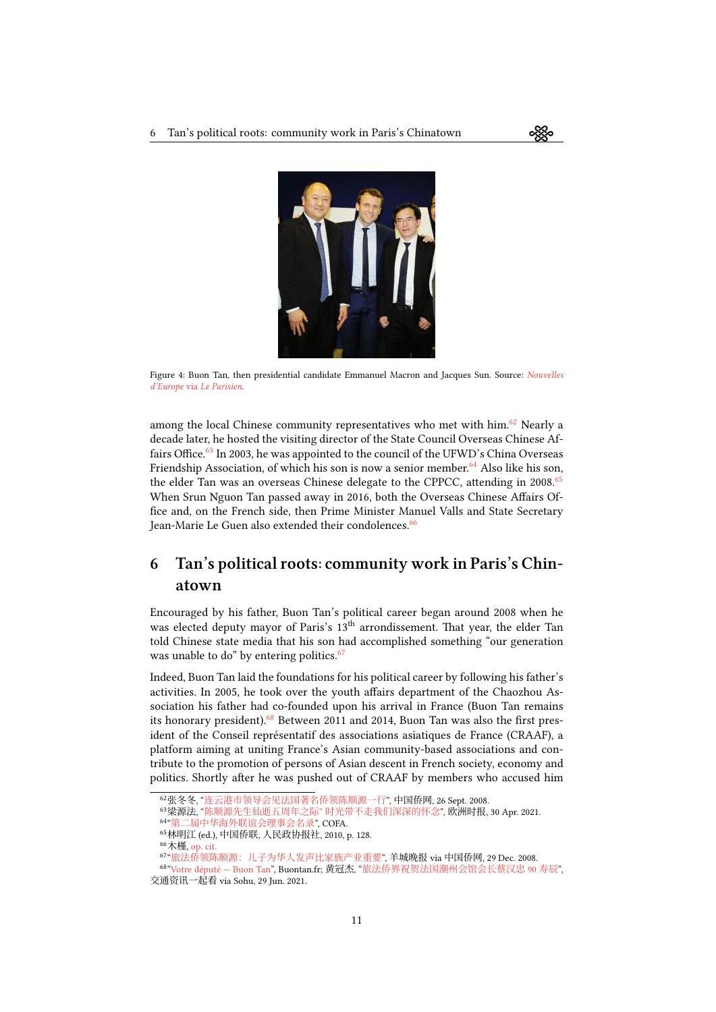<span id="page-10-7"></span>

Figure 4: Buon Tan, then presidential candidate Emmanuel Macron and Jacques Sun. Source: [Nouvelles](https://www.leparisien.fr/politique/emmanuel-macron-a-t-il-rencontre-un-espion-chinois-01-04-2017-6816372.php) d'Europe via [Le Parisien](https://www.leparisien.fr/politique/emmanuel-macron-a-t-il-rencontre-un-espion-chinois-01-04-2017-6816372.php).

among the local Chinese community representatives who met with him.<sup>[62](#page-10-0)</sup> Nearly a decade later, he hosted the visiting director of the State Council Overseas Chinese Af-fairs Office.<sup>[63](#page-10-1)</sup> In 2003, he was appointed to the council of the UFWD's China Overseas Friendship Association, of which his son is now a senior member.<sup>[64](#page-10-2)</sup> Also like his son, the elder Tan was an overseas Chinese delegate to the CPPCC, attending in 2008.<sup>[65](#page-10-3)</sup> When Srun Nguon Tan passed away in 2016, both the Overseas Chinese Affairs Office and, on the French side, then Prime Minister Manuel Valls and State Secretary Jean-Marie Le Guen also extended their condolences.<sup>[66](#page-10-4)</sup>

## 6 Tan's political roots: community work in Paris's Chinatown

Encouraged by his father, Buon Tan's political career began around 2008 when he was elected deputy mayor of Paris's 13<sup>th</sup> arrondissement. That year, the elder Tan told Chinese state media that his son had accomplished something "our generation was unable to do" by entering politics.<sup>[67](#page-10-5)</sup>

Indeed, Buon Tan laid the foundations for his political career by following his father's activities. In 2005, he took over the youth affairs department of the Chaozhou Association his father had co-founded upon his arrival in France (Buon Tan remains its honorary president). $68$  Between 2011 and 2014, Buon Tan was also the first president of the Conseil représentatif des associations asiatiques de France (CRAAF), a platform aiming at uniting France's Asian community-based associations and contribute to the promotion of persons of Asian descent in French society, economy and politics. Shortly after he was pushed out of CRAAF by members who accused him

<span id="page-10-0"></span><sup>62</sup>张冬冬, "[连云港市领导会见法国著名侨领陈顺源一行](https://web.archive.org/web/20220301085424/http://www.chinaqw.com/zgqj/qjdt/200809/26/132171.shtml)", 中国侨网, 26 Sept. 2008.

<span id="page-10-1"></span><sup>63</sup>梁源法, "陈顺源先生仙逝五周年之际" [时光带不走我们深深的怀念](https://web.archive.org/web/20220301085413/http://www.oushinet.com/static/content/qj/qjnews/2021-04-30/837635782218096640.html)", 欧洲时报, 30 Apr. 2021.

<span id="page-10-2"></span><sup>64</sup> "[第二届中华海外联谊会理事会名录](http://web.archive.org/web/20120412080526/http:/www.cofa.org.cn/hailian/jiben/lishi2.htm)", COFA.

<span id="page-10-3"></span><sup>65</sup>林明江 (ed.), 中国侨联, 人民政协报社, 2010, p. 128.

<span id="page-10-4"></span><sup>66</sup>木槿, [op. cit.](https://archive.fo/lfhqq)

<span id="page-10-6"></span><span id="page-10-5"></span><sup>67</sup> "[旅法侨领陈顺源:儿子为华人发声比家族产业重要](https://web.archive.org/web/20160812121342/https://www.chinaqw.com/hqhr/hrdt/200812/29/144289.shtml)", 羊城晚报 via 中国侨网, 29 Dec. 2008.

<sup>68</sup> ["Votre député — Buon Tan](https://archive.fo/uUb7V)", Buontan.fr; 黄冠杰, "[旅法侨界祝贺法国潮州会馆会长蔡汉忠](https://www.sohu.com/a/474583156_121123756) 90 寿辰", 交通资讯一起看 via Sohu, 29 Jun. 2021.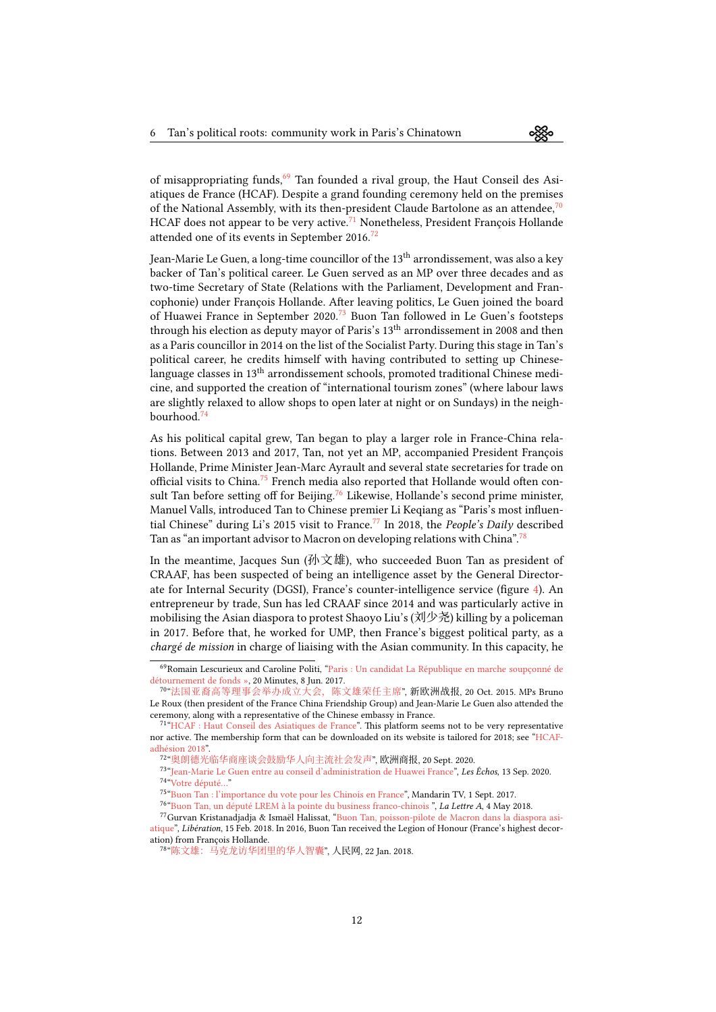of misappropriating funds,<sup>[69](#page-11-0)</sup> Tan founded a rival group, the Haut Conseil des Asiatiques de France (HCAF). Despite a grand founding ceremony held on the premises of the National Assembly, with its then-president Claude Bartolone as an attendee,  $\frac{70}{10}$  $\frac{70}{10}$  $\frac{70}{10}$ HCAF does not appear to be very active.<sup>[71](#page-11-2)</sup> Nonetheless, President François Hollande attended one of its events in September 2016.<sup>[72](#page-11-3)</sup>

Jean-Marie Le Guen, a long-time councillor of the 13<sup>th</sup> arrondissement, was also a key backer of Tan's political career. Le Guen served as an MP over three decades and as two-time Secretary of State (Relations with the Parliament, Development and Francophonie) under François Hollande. After leaving politics, Le Guen joined the board of Huawei France in September 2020.<sup>[73](#page-11-4)</sup> Buon Tan followed in Le Guen's footsteps through his election as deputy mayor of Paris's 13<sup>th</sup> arrondissement in 2008 and then as a Paris councillor in 2014 on the list of the Socialist Party. During this stage in Tan's political career, he credits himself with having contributed to setting up Chineselanguage classes in 13<sup>th</sup> arrondissement schools, promoted traditional Chinese medicine, and supported the creation of "international tourism zones" (where labour laws are slightly relaxed to allow shops to open later at night or on Sundays) in the neighbourhood.[74](#page-11-5)

As his political capital grew, Tan began to play a larger role in France-China relations. Between 2013 and 2017, Tan, not yet an MP, accompanied President François Hollande, Prime Minister Jean-Marc Ayrault and several state secretaries for trade on official visits to China.<sup>[75](#page-11-6)</sup> French media also reported that Hollande would often con-sult Tan before setting off for Beijing.<sup>[76](#page-11-7)</sup> Likewise, Hollande's second prime minister, Manuel Valls, introduced Tan to Chinese premier Li Keqiang as "Paris's most influen-tial Chinese" during Li's 2015 visit to France.<sup>[77](#page-11-8)</sup> In 2018, the *People's Daily* described Tan as "an important advisor to Macron on developing relations with China".<sup>[78](#page-11-9)</sup>

In the meantime, Jacques Sun (孙文雄), who succeeded Buon Tan as president of CRAAF, has been suspected of being an intelligence asset by the General Directorate for Internal Security (DGSI), France's counter-intelligence service (figure [4\)](#page-10-7). An entrepreneur by trade, Sun has led CRAAF since 2014 and was particularly active in mobilising the Asian diaspora to protest Shaoyo Liu's (刘少尧) killing by a policeman in 2017. Before that, he worked for UMP, then France's biggest political party, as a chargé de mission in charge of liaising with the Asian community. In this capacity, he

<span id="page-11-0"></span><sup>69</sup>Romain Lescurieux and Caroline Politi, ["Paris : Un candidat La République en marche soupçonné de](https://web.archive.org/web/20170719085114/https://www.20minutes.fr/paris/2082655-20170608-paris-candidat-republique-marche-soupconne-detournement-fonds) [détournement de fonds »,](https://web.archive.org/web/20170719085114/https://www.20minutes.fr/paris/2082655-20170608-paris-candidat-republique-marche-soupconne-detournement-fonds) 20 Minutes, 8 Jun. 2017.

<span id="page-11-1"></span><sup>70</sup> "[法国亚裔高等理事会举办成立大会,陈文雄荣任主席](https://web.archive.org/web/20220301091328/https://bbs.xineurope.com/article-7624-1.html)", 新欧洲战报, 20 Oct. 2015. MPs Bruno Le Roux (then president of the France China Friendship Group) and Jean-Marie Le Guen also attended the ceremony, along with a representative of the Chinese embassy in France.

<span id="page-11-2"></span><sup>&</sup>lt;sup>71</sup> ["HCAF : Haut Conseil des Asiatiques de France"](https://archive.fo/jeUgt). This platform seems not to be very representative nor active. The membership form that can be downloaded on its website is tailored for 2018; see ["HCAF](https://web.archive.org/web/20180901133450/https://www.hcaf.fr/res/HCAF-adhesion2018.pdf)adhésion 2018

<span id="page-11-3"></span><sup>72</sup> "[奥朗德光临华商座谈会鼓励华人向主流社会发声](https://archive.fo/PANNo)", 欧洲商报, 20 Sept. 2020.

<span id="page-11-5"></span><span id="page-11-4"></span><sup>&</sup>lt;sup>73</sup> ["Jean-Marie Le Guen entre au conseil d'administration de Huawei France](https://web.archive.org/web/20200914105121/https://www.lesechos.fr/tech-medias/hightech/jean-marie-le-guen-entre-au-conseil-dadministration-de-huawei-france-1241991)", Les Échos, 13 Sep. 2020. 74 ["Votre député…"](https://archive.fo/uUb7V)

<span id="page-11-6"></span><sup>75</sup> ["Buon Tan : l'importance du vote pour les Chinois en France](https://www.mandarintv.fr/video_detail.php?cat=galachinois2018&video=10&langue=Fr)", Mandarin TV, 1 Sept. 2017.

<span id="page-11-8"></span><span id="page-11-7"></span><sup>&</sup>lt;sup>76</sup> ["Buon Tan, un député LREM à la pointe du business franco-chinois](https://www.lalettrea.fr/action-publique_parlement/2018/05/04/buon-tan-un-depute-lrem-a-la-pointe-du-business-franco-chinois,108309380-ar2) ", La Lettre A, 4 May 2018.

<sup>77</sup>Gurvan Kristanadjadja & Ismaël Halissat,"[Buon Tan, poisson-pilote de Macron dans la diaspora asi](https://web.archive.org/web/20180215224647/https://www.liberation.fr/france/2018/02/15/buon-tan-poisson-pilote-de-macron-dans-la-diaspora-asiatique_1630045/)[atique"](https://web.archive.org/web/20180215224647/https://www.liberation.fr/france/2018/02/15/buon-tan-poisson-pilote-de-macron-dans-la-diaspora-asiatique_1630045/), Libération, 15 Feb. 2018. In 2016, Buon Tan received the Legion of Honour (France's highest decoration) from François Hollande.

<span id="page-11-9"></span><sup>78</sup> "[陈文雄:马克龙访华团里的华人智囊](https://archive.ph/2IxCh)", 人民网, 22 Jan. 2018.